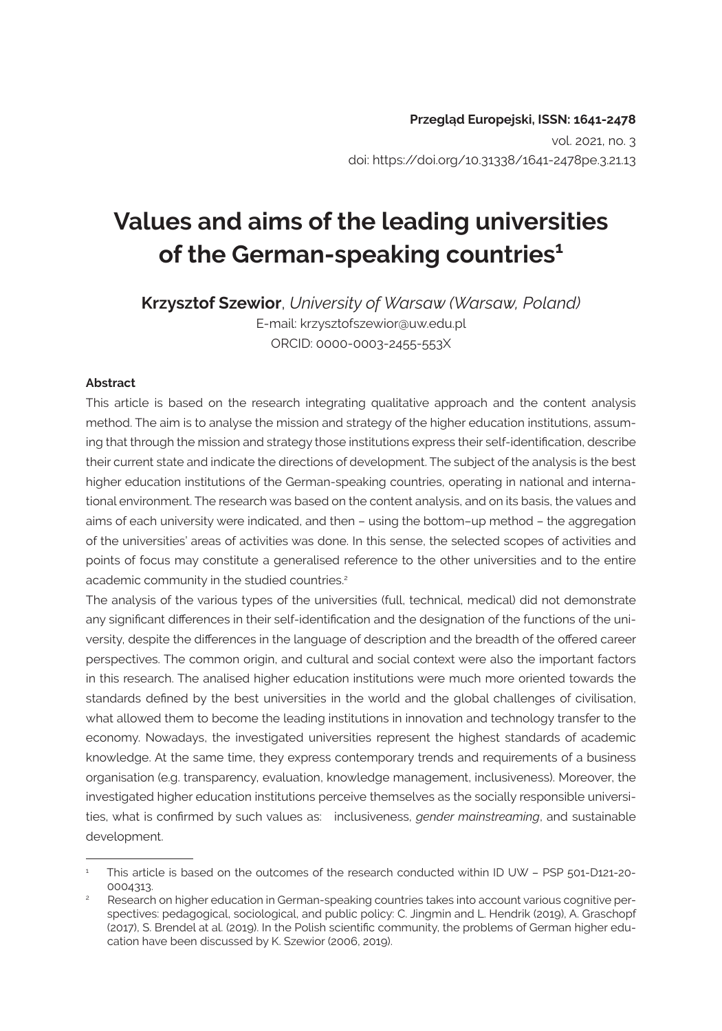# **Values and aims of the leading universities of the German-speaking countries1**

**Krzysztof Szewior**, *University of Warsaw (Warsaw, Poland)* E-mail: [krzysztofszewior@uw.edu.pl](mailto:krzysztofszewior@uw.edu.pl) ORCID: 0000-0003-2455-553X

#### **Abstract**

This article is based on the research integrating qualitative approach and the content analysis method. The aim is to analyse the mission and strategy of the higher education institutions, assuming that through the mission and strategy those institutions express their self-identification, describe their current state and indicate the directions of development. The subject of the analysis is the best higher education institutions of the German-speaking countries, operating in national and international environment. The research was based on the content analysis, and on its basis, the values and aims of each university were indicated, and then – using the bottom–up method – the aggregation of the universities' areas of activities was done. In this sense, the selected scopes of activities and points of focus may constitute a generalised reference to the other universities and to the entire academic community in the studied countries.<sup>2</sup>

The analysis of the various types of the universities (full, technical, medical) did not demonstrate any significant differences in their self-identification and the designation of the functions of the university, despite the differences in the language of description and the breadth of the offered career perspectives. The common origin, and cultural and social context were also the important factors in this research. The analised higher education institutions were much more oriented towards the standards defined by the best universities in the world and the global challenges of civilisation, what allowed them to become the leading institutions in innovation and technology transfer to the economy. Nowadays, the investigated universities represent the highest standards of academic knowledge. At the same time, they express contemporary trends and requirements of a business organisation (e.g. transparency, evaluation, knowledge management, inclusiveness). Moreover, the investigated higher education institutions perceive themselves as the socially responsible universities, what is confirmed by such values as: inclusiveness, *gender mainstreaming*, and sustainable development.

This article is based on the outcomes of the research conducted within ID UW - PSP 501-D121-20-0004313.

Research on higher education in German-speaking countries takes into account various cognitive perspectives: pedagogical, sociological, and public policy: C. Jingmin and L. Hendrik (2019), A. Graschopf (2017), S. Brendel at al. (2019). In the Polish scientific community, the problems of German higher education have been discussed by K. Szewior (2006, 2019).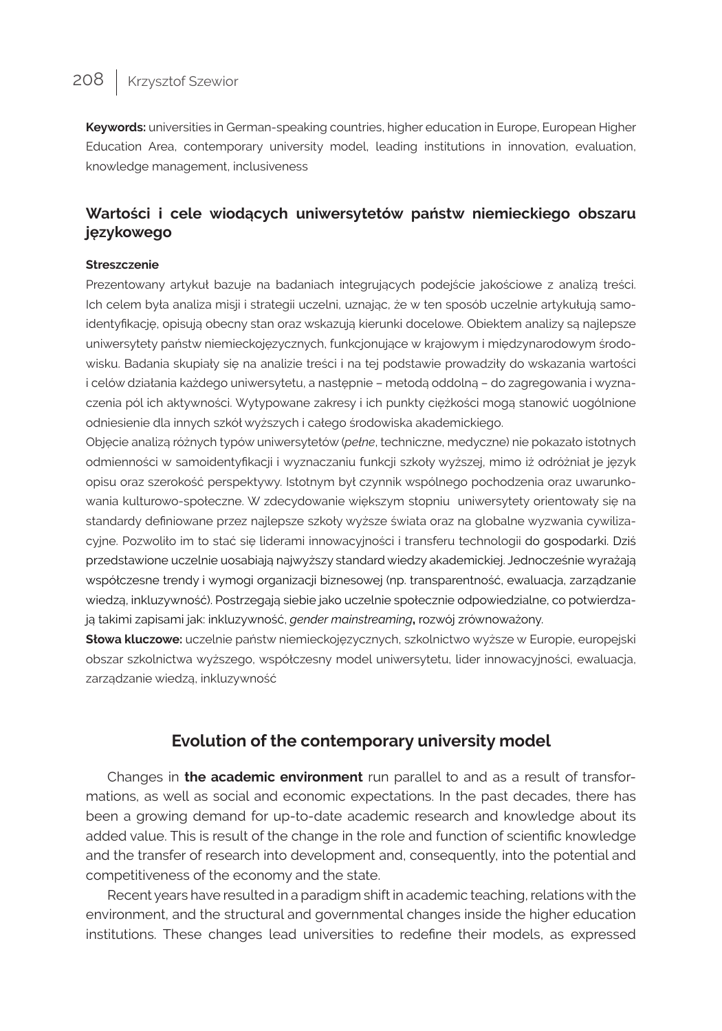**Keywords:** universities in German-speaking countries, higher education in Europe, European Higher Education Area, contemporary university model, leading institutions in innovation, evaluation, knowledge management, inclusiveness

### **Wartości i cele wiodących uniwersytetów państw niemieckiego obszaru językowego**

#### **Streszczenie**

Prezentowany artykuł bazuje na badaniach integrujących podejście jakościowe z analizą treści. Ich celem była analiza misji i strategii uczelni, uznając, że w ten sposób uczelnie artykułują samoidentyfikację, opisują obecny stan oraz wskazują kierunki docelowe. Obiektem analizy są najlepsze uniwersytety państw niemieckojęzycznych, funkcjonujące w krajowym i międzynarodowym środowisku. Badania skupiały się na analizie treści i na tej podstawie prowadziły do wskazania wartości i celów działania każdego uniwersytetu, a następnie – metodą oddolną – do zagregowania i wyznaczenia pól ich aktywności. Wytypowane zakresy i ich punkty ciężkości mogą stanowić uogólnione odniesienie dla innych szkół wyższych i całego środowiska akademickiego.

Objęcie analizą różnych typów uniwersytetów (*pełne*, techniczne, medyczne) nie pokazało istotnych odmienności w samoidentyfikacji i wyznaczaniu funkcji szkoły wyższej, mimo iż odróżniał je język opisu oraz szerokość perspektywy. Istotnym był czynnik wspólnego pochodzenia oraz uwarunkowania kulturowo-społeczne. W zdecydowanie większym stopniu uniwersytety orientowały się na standardy definiowane przez najlepsze szkoły wyższe świata oraz na globalne wyzwania cywilizacyjne. Pozwoliło im to stać się liderami innowacyjności i transferu technologii do gospodarki. Dziś przedstawione uczelnie uosabiają najwyższy standard wiedzy akademickiej. Jednocześnie wyrażają współczesne trendy i wymogi organizacji biznesowej (np. transparentność, ewaluacja, zarządzanie wiedzą, inkluzywność). Postrzegają siebie jako uczelnie społecznie odpowiedzialne, co potwierdzają takimi zapisami jak: inkluzywność, *gender mainstreaming***,** rozwój zrównoważony.

**Słowa kluczowe:** uczelnie państw niemieckojęzycznych, szkolnictwo wyższe w Europie, europejski obszar szkolnictwa wyższego, współczesny model uniwersytetu, lider innowacyjności, ewaluacja, zarządzanie wiedzą, inkluzywność

### **Evolution of the contemporary university model**

Changes in **the academic environment** run parallel to and as a result of transformations, as well as social and economic expectations. In the past decades, there has been a growing demand for up-to-date academic research and knowledge about its added value. This is result of the change in the role and function of scientific knowledge and the transfer of research into development and, consequently, into the potential and competitiveness of the economy and the state.

Recent years have resulted in a paradigm shift in academic teaching, relations with the environment, and the structural and governmental changes inside the higher education institutions. These changes lead universities to redefine their models, as expressed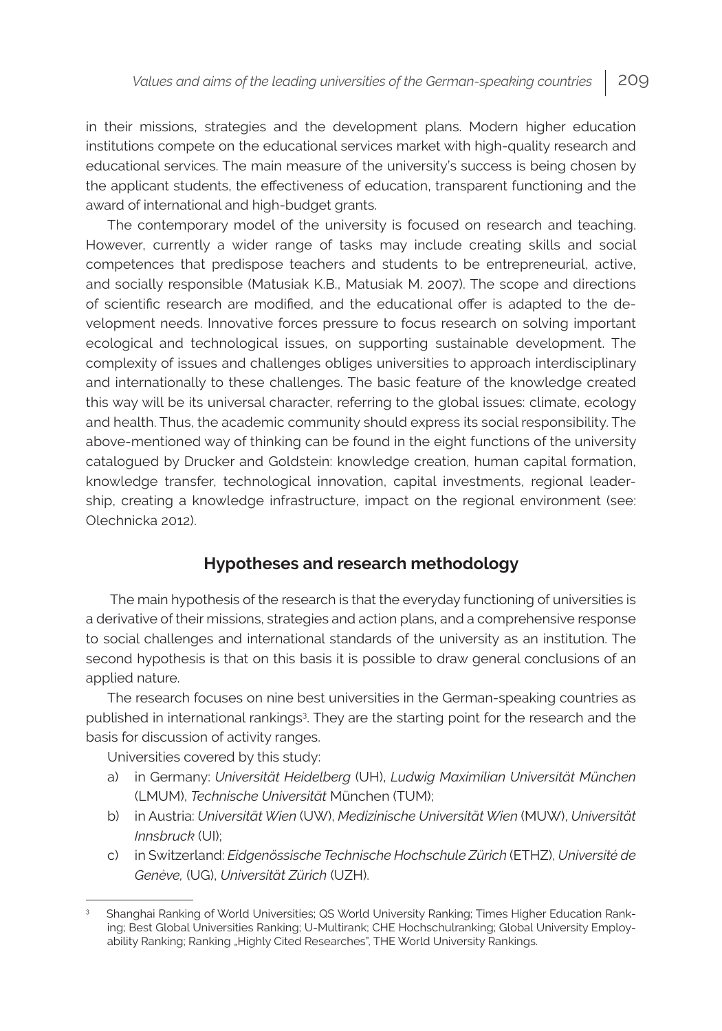in their missions, strategies and the development plans. Modern higher education institutions compete on the educational services market with high-quality research and educational services. The main measure of the university's success is being chosen by the applicant students, the effectiveness of education, transparent functioning and the award of international and high-budget grants.

The contemporary model of the university is focused on research and teaching. However, currently a wider range of tasks may include creating skills and social competences that predispose teachers and students to be entrepreneurial, active, and socially responsible (Matusiak K.B., Matusiak M. 2007). The scope and directions of scientific research are modified, and the educational offer is adapted to the development needs. Innovative forces pressure to focus research on solving important ecological and technological issues, on supporting sustainable development. The complexity of issues and challenges obliges universities to approach interdisciplinary and internationally to these challenges. The basic feature of the knowledge created this way will be its universal character, referring to the global issues: climate, ecology and health. Thus, the academic community should express its social responsibility. The above-mentioned way of thinking can be found in the eight functions of the university catalogued by Drucker and Goldstein: knowledge creation, human capital formation, knowledge transfer, technological innovation, capital investments, regional leadership, creating a knowledge infrastructure, impact on the regional environment (see: Olechnicka 2012).

### **Hypotheses and research methodology**

 The main hypothesis of the research is that the everyday functioning of universities is a derivative of their missions, strategies and action plans, and a comprehensive response to social challenges and international standards of the university as an institution. The second hypothesis is that on this basis it is possible to draw general conclusions of an applied nature.

The research focuses on nine best universities in the German-speaking countries as published in international rankings<sup>3</sup>. They are the starting point for the research and the basis for discussion of activity ranges.

Universities covered by this study:

- a) in Germany: *Universität Heidelberg* (UH), *Ludwig Maximilian Universität München* (LMUM), *Technische Universität* München (TUM);
- b) in Austria: *Universität Wien* (UW), *Medizinische Universität Wien* (MUW), *Universität Innsbruck* (UI);
- c) in Switzerland: *Eidgenössische Technische Hochschule Zürich* (ETHZ), *Université de Genève,* (UG), *Universität Zürich* (UZH).

<sup>3</sup> Shanghai Ranking of World Universities; QS World University Ranking; Times Higher Education Ranking; Best Global Universities Ranking; U-Multirank; CHE Hochschulranking; Global University Employability Ranking; Ranking "Highly Cited Researches", THE World University Rankings.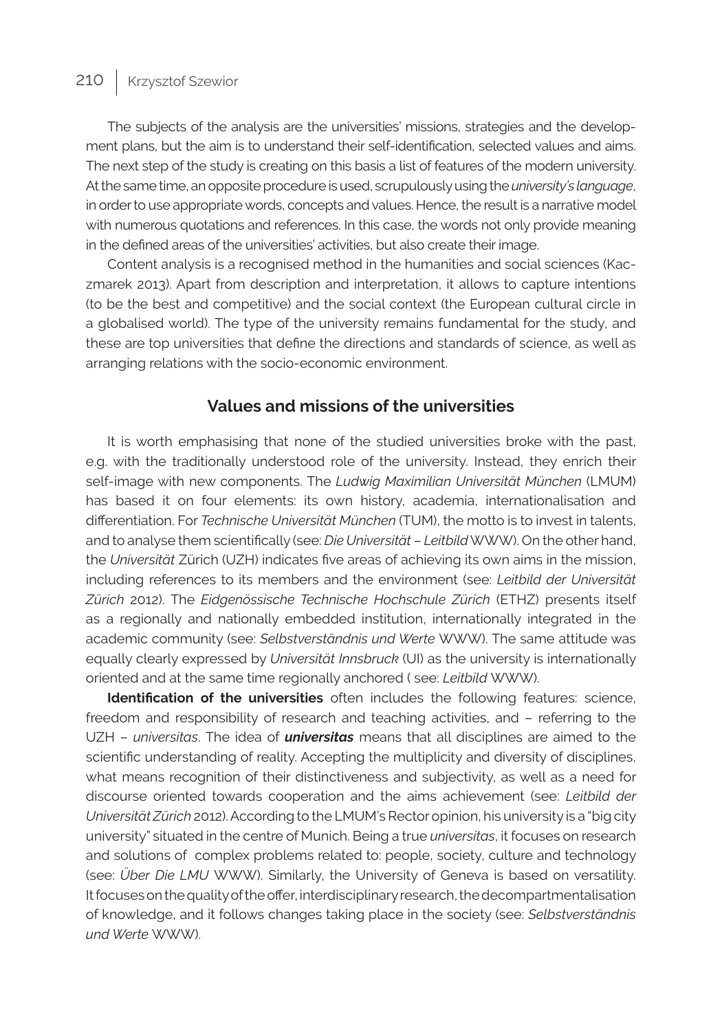The subjects of the analysis are the universities' missions, strategies and the development plans, but the aim is to understand their self-identification, selected values and aims. The next step of the study is creating on this basis a list of features of the modern university. At the same time, an opposite procedure is used, scrupulously using the *university's language*, in order to use appropriate words, concepts and values. Hence, the result is a narrative model with numerous quotations and references. In this case, the words not only provide meaning in the defined areas of the universities' activities, but also create their image.

Content analysis is a recognised method in the humanities and social sciences (Kaczmarek 2013). Apart from description and interpretation, it allows to capture intentions (to be the best and competitive) and the social context (the European cultural circle in a globalised world). The type of the university remains fundamental for the study, and these are top universities that define the directions and standards of science, as well as arranging relations with the socio-economic environment.

#### **Values and missions of the universities**

It is worth emphasising that none of the studied universities broke with the past, e.g. with the traditionally understood role of the university. Instead, they enrich their self-image with new components. The *Ludwig Maximilian Universität München* (LMUM) has based it on four elements: its own history, academia, internationalisation and differentiation. For *Technische Universität München* (TUM), the motto is to invest in talents, and to analyse them scientifically (see: *Die Universität* – *Leitbild* WWW). On the other hand, the *Universität* Zürich (UZH) indicates five areas of achieving its own aims in the mission, including references to its members and the environment (see: *Leitbild der Universität Zürich* 2012). The *Eidgenössische Technische Hochschule Zürich* (ETHZ) presents itself as a regionally and nationally embedded institution, internationally integrated in the academic community (see: *Selbstverständnis und Werte* WWW). The same attitude was equally clearly expressed by *Universität Innsbruck* (UI) as the university is internationally oriented and at the same time regionally anchored ( see: *Leitbild* WWW).

**Identification of the universities** often includes the following features: science, freedom and responsibility of research and teaching activities, and – referring to the UZH – *universitas*. The idea of *universitas* means that all disciplines are aimed to the scientific understanding of reality. Accepting the multiplicity and diversity of disciplines, what means recognition of their distinctiveness and subjectivity, as well as a need for discourse oriented towards cooperation and the aims achievement (see: *Leitbild der Universität Zürich* 2012). According to the LMUM's Rector opinion, his university is a "big city university" situated in the centre of Munich. Being a true *universitas*, it focuses on research and solutions of complex problems related to: people, society, culture and technology (see: *Über Die LMU* WWW). Similarly, the University of Geneva is based on versatility. It focuses on the quality of the offer, interdisciplinary research, the decompartmentalisation of knowledge, and it follows changes taking place in the society (see: *Selbstverständnis und Werte* WWW).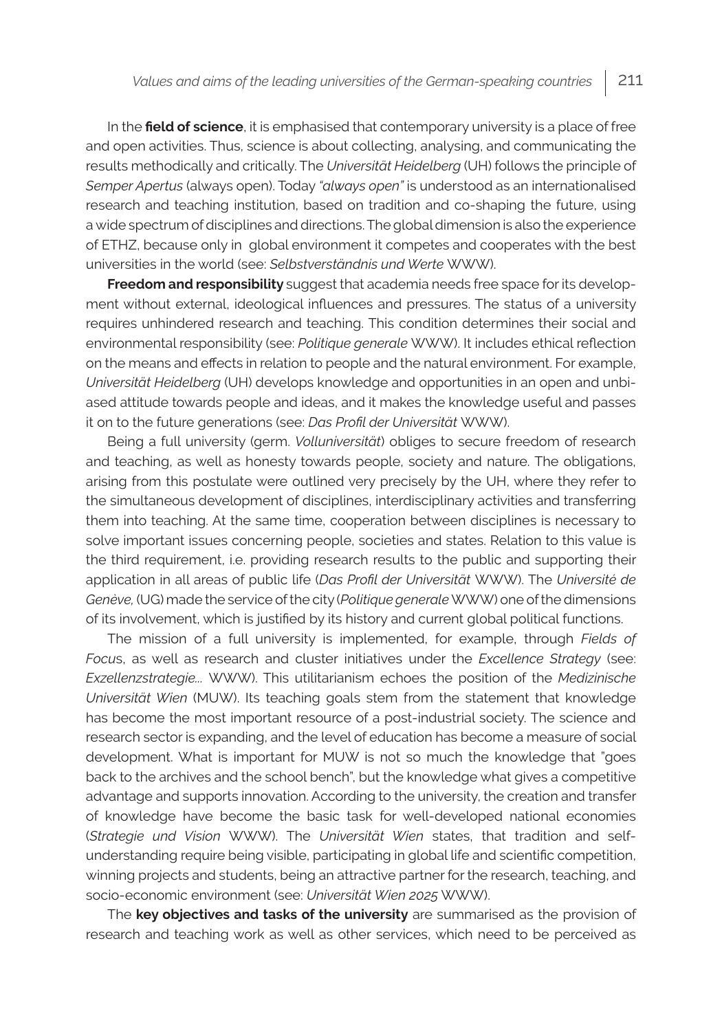In the **field of science**, it is emphasised that contemporary university is a place of free and open activities. Thus, science is about collecting, analysing, and communicating the results methodically and critically. The *Universität Heidelberg* (UH) follows the principle of *Semper Apertus* (always open). Today *"always open"* is understood as an internationalised research and teaching institution, based on tradition and co-shaping the future, using a wide spectrum of disciplines and directions. The global dimension is also the experience of ETHZ, because only in global environment it competes and cooperates with the best universities in the world (see: *Selbstverständnis und Werte* WWW).

**Freedom and responsibility** suggest that academia needs free space for its development without external, ideological influences and pressures. The status of a university requires unhindered research and teaching. This condition determines their social and environmental responsibility (see: *Politique generale* WWW). It includes ethical reflection on the means and effects in relation to people and the natural environment. For example, *Universität Heidelberg* (UH) develops knowledge and opportunities in an open and unbiased attitude towards people and ideas, and it makes the knowledge useful and passes it on to the future generations (see: *Das Profil der Universität* WWW).

Being a full university (germ. *Volluniversität*) obliges to secure freedom of research and teaching, as well as honesty towards people, society and nature. The obligations, arising from this postulate were outlined very precisely by the UH, where they refer to the simultaneous development of disciplines, interdisciplinary activities and transferring them into teaching. At the same time, cooperation between disciplines is necessary to solve important issues concerning people, societies and states. Relation to this value is the third requirement, i.e. providing research results to the public and supporting their application in all areas of public life (*Das Profil der Universität* WWW). The *Université de Genève,* (UG) made the service of the city (*Politique generale* WWW) one of the dimensions of its involvement, which is justified by its history and current global political functions.

The mission of a full university is implemented, for example, through *Fields of Focu*s, as well as research and cluster initiatives under the *Excellence Strategy* (see: *Exzellenzstrategie...* WWW). This utilitarianism echoes the position of the *Medizinische Universität Wien* (MUW). Its teaching goals stem from the statement that knowledge has become the most important resource of a post-industrial society. The science and research sector is expanding, and the level of education has become a measure of social development. What is important for MUW is not so much the knowledge that "goes back to the archives and the school bench", but the knowledge what gives a competitive advantage and supports innovation. According to the university, the creation and transfer of knowledge have become the basic task for well-developed national economies (*Strategie und Vision* WWW). The *Universität Wien* states, that tradition and selfunderstanding require being visible, participating in global life and scientific competition, winning projects and students, being an attractive partner for the research, teaching, and socio-economic environment (see: *Universität Wien 2025* WWW).

The **key objectives and tasks of the university** are summarised as the provision of research and teaching work as well as other services, which need to be perceived as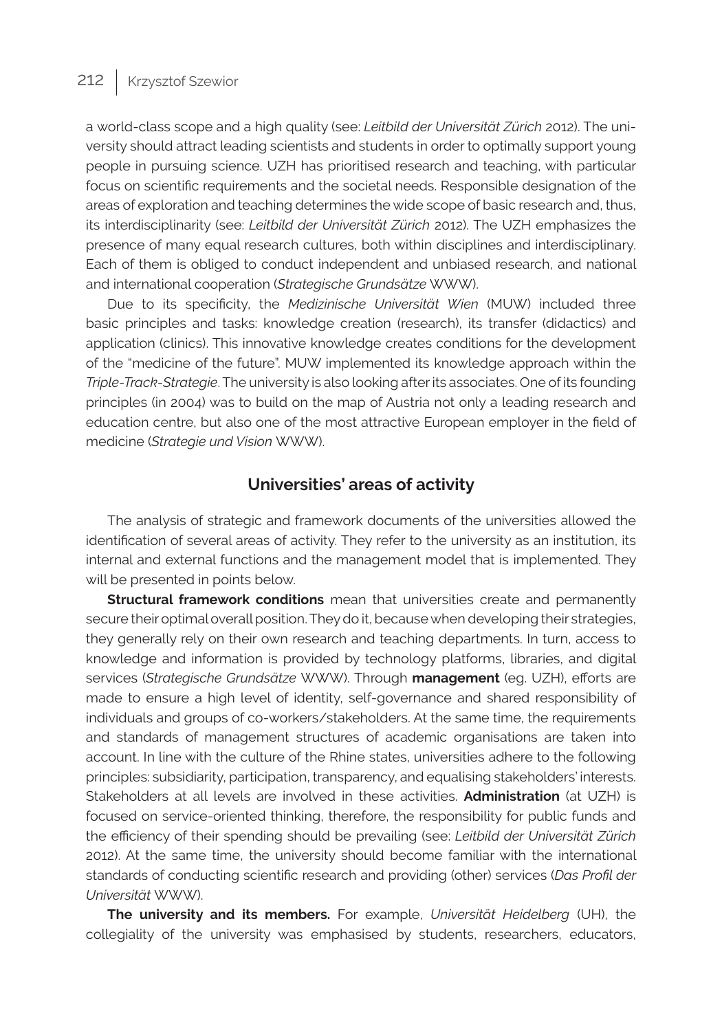a world-class scope and a high quality (see: *Leitbild der Universität Zürich* 2012). The university should attract leading scientists and students in order to optimally support young people in pursuing science. UZH has prioritised research and teaching, with particular focus on scientific requirements and the societal needs. Responsible designation of the areas of exploration and teaching determines the wide scope of basic research and, thus, its interdisciplinarity (see: *Leitbild der Universität Zürich* 2012). The UZH emphasizes the presence of many equal research cultures, both within disciplines and interdisciplinary. Each of them is obliged to conduct independent and unbiased research, and national and international cooperation (*Strategische Grundsätze* WWW).

Due to its specificity, the *Medizinische Universität Wien* (MUW) included three basic principles and tasks: knowledge creation (research), its transfer (didactics) and application (clinics). This innovative knowledge creates conditions for the development of the "medicine of the future". MUW implemented its knowledge approach within the *Triple-Track-Strategie*. The university is also looking after its associates. One of its founding principles (in 2004) was to build on the map of Austria not only a leading research and education centre, but also one of the most attractive European employer in the field of medicine (*Strategie und Vision* WWW).

#### **Universities' areas of activity**

The analysis of strategic and framework documents of the universities allowed the identification of several areas of activity. They refer to the university as an institution, its internal and external functions and the management model that is implemented. They will be presented in points below.

**Structural framework conditions** mean that universities create and permanently secure their optimal overall position. They do it, because when developing their strategies, they generally rely on their own research and teaching departments. In turn, access to knowledge and information is provided by technology platforms, libraries, and digital services (*Strategische Grundsätze* WWW). Through **management** (eg. UZH), efforts are made to ensure a high level of identity, self-governance and shared responsibility of individuals and groups of co-workers/stakeholders. At the same time, the requirements and standards of management structures of academic organisations are taken into account. In line with the culture of the Rhine states, universities adhere to the following principles: subsidiarity, participation, transparency, and equalising stakeholders' interests. Stakeholders at all levels are involved in these activities. **Administration** (at UZH) is focused on service-oriented thinking, therefore, the responsibility for public funds and the efficiency of their spending should be prevailing (see: *Leitbild der Universität Zürich*  2012). At the same time, the university should become familiar with the international standards of conducting scientific research and providing (other) services (*Das Profil der Universität* WWW).

**The university and its members.** For example, *Universität Heidelberg* (UH), the collegiality of the university was emphasised by students, researchers, educators,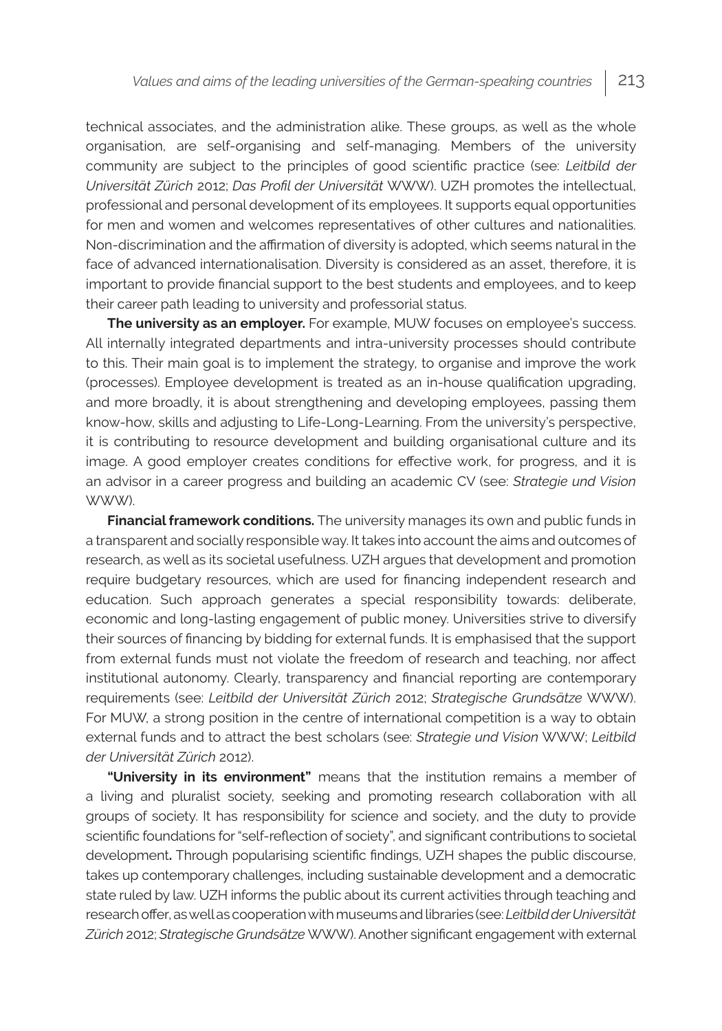technical associates, and the administration alike. These groups, as well as the whole organisation, are self-organising and self-managing. Members of the university community are subject to the principles of good scientific practice (see: *Leitbild der Universität Zürich* 2012; *Das Profil der Universität* WWW). UZH promotes the intellectual, professional and personal development of its employees. It supports equal opportunities for men and women and welcomes representatives of other cultures and nationalities. Non-discrimination and the affirmation of diversity is adopted, which seems natural in the face of advanced internationalisation. Diversity is considered as an asset, therefore, it is important to provide financial support to the best students and employees, and to keep their career path leading to university and professorial status.

**The university as an employer.** For example, MUW focuses on employee's success. All internally integrated departments and intra-university processes should contribute to this. Their main goal is to implement the strategy, to organise and improve the work (processes). Employee development is treated as an in-house qualification upgrading, and more broadly, it is about strengthening and developing employees, passing them know-how, skills and adjusting to Life-Long-Learning. From the university's perspective, it is contributing to resource development and building organisational culture and its image. A good employer creates conditions for effective work, for progress, and it is an advisor in a career progress and building an academic CV (see: *Strategie und Vision*  WWW).

**Financial framework conditions.** The university manages its own and public funds in a transparent and socially responsible way. It takes into account the aims and outcomes of research, as well as its societal usefulness. UZH argues that development and promotion require budgetary resources, which are used for financing independent research and education. Such approach generates a special responsibility towards: deliberate, economic and long-lasting engagement of public money. Universities strive to diversify their sources of financing by bidding for external funds. It is emphasised that the support from external funds must not violate the freedom of research and teaching, nor affect institutional autonomy. Clearly, transparency and financial reporting are contemporary requirements (see: *Leitbild der Universität Zürich* 2012; *Strategische Grundsätze* WWW). For MUW, a strong position in the centre of international competition is a way to obtain external funds and to attract the best scholars (see: *Strategie und Vision* WWW; *Leitbild der Universität Zürich* 2012).

**"University in its environment"** means that the institution remains a member of a living and pluralist society, seeking and promoting research collaboration with all groups of society. It has responsibility for science and society, and the duty to provide scientific foundations for "self-reflection of society", and significant contributions to societal development**.** Through popularising scientific findings, UZH shapes the public discourse, takes up contemporary challenges, including sustainable development and a democratic state ruled by law. UZH informs the public about its current activities through teaching and research offer, as well as cooperation with museums and libraries (see: *Leitbild der Universität Zürich* 2012; *Strategische Grundsätze* WWW). Another significant engagement with external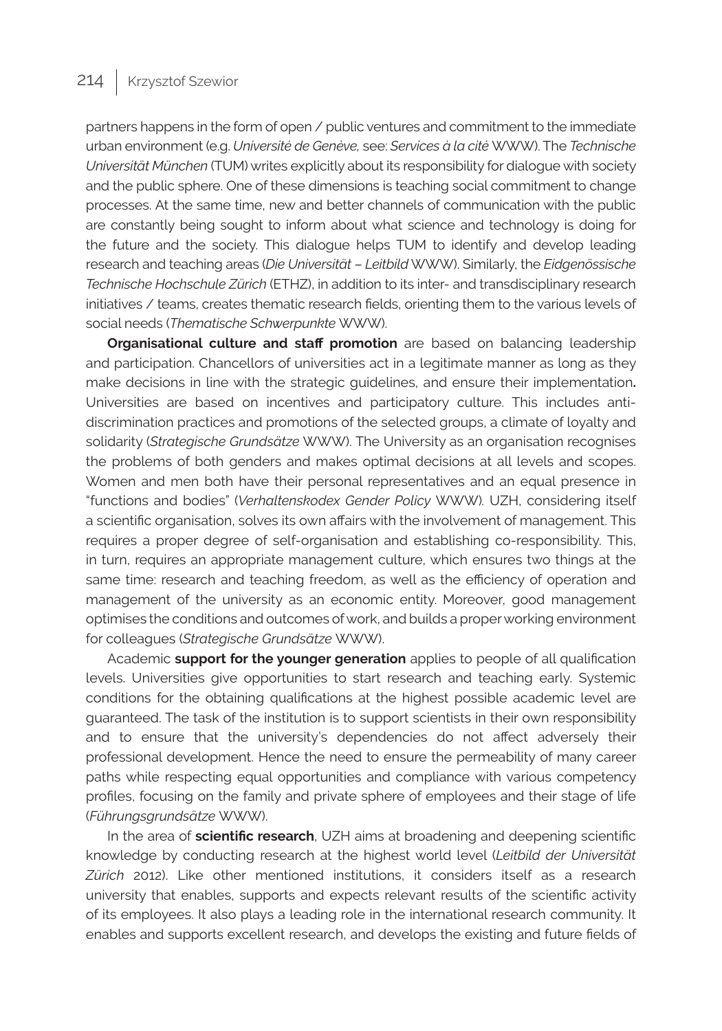partners happens in the form of open / public ventures and commitment to the immediate urban environment (e.g. *Université de Genève,* see: *Services à la cité* WWW). The *Technische Universität München* (TUM) writes explicitly about its responsibility for dialogue with society and the public sphere. One of these dimensions is teaching social commitment to change processes. At the same time, new and better channels of communication with the public are constantly being sought to inform about what science and technology is doing for the future and the society. This dialogue helps TUM to identify and develop leading research and teaching areas (*Die Universität* – *Leitbild* WWW). Similarly, the *Eidgenössische Technische Hochschule Zürich* (ETHZ), in addition to its inter- and transdisciplinary research initiatives / teams, creates thematic research fields, orienting them to the various levels of social needs (*Thematische Schwerpunkte* WWW).

**Organisational culture and staff promotion** are based on balancing leadership and participation. Chancellors of universities act in a legitimate manner as long as they make decisions in line with the strategic guidelines, and ensure their implementation**.**  Universities are based on incentives and participatory culture. This includes antidiscrimination practices and promotions of the selected groups, a climate of loyalty and solidarity (*Strategische Grundsätze* WWW). The University as an organisation recognises the problems of both genders and makes optimal decisions at all levels and scopes. Women and men both have their personal representatives and an equal presence in "functions and bodies" (*Verhaltenskodex Gender Policy* WWW)*.* UZH, considering itself a scientific organisation, solves its own affairs with the involvement of management. This requires a proper degree of self-organisation and establishing co-responsibility. This, in turn, requires an appropriate management culture, which ensures two things at the same time: research and teaching freedom, as well as the efficiency of operation and management of the university as an economic entity. Moreover, good management optimises the conditions and outcomes of work, and builds a proper working environment for colleagues (*Strategische Grundsätze* WWW).

Academic **support for the younger generation** applies to people of all qualification levels. Universities give opportunities to start research and teaching early. Systemic conditions for the obtaining qualifications at the highest possible academic level are guaranteed. The task of the institution is to support scientists in their own responsibility and to ensure that the university's dependencies do not affect adversely their professional development. Hence the need to ensure the permeability of many career paths while respecting equal opportunities and compliance with various competency profiles, focusing on the family and private sphere of employees and their stage of life (*Führungsgrundsätze* WWW).

In the area of **scientific research**, UZH aims at broadening and deepening scientific knowledge by conducting research at the highest world level (*Leitbild der Universität Zürich* 2012). Like other mentioned institutions, it considers itself as a research university that enables, supports and expects relevant results of the scientific activity of its employees. It also plays a leading role in the international research community. It enables and supports excellent research, and develops the existing and future fields of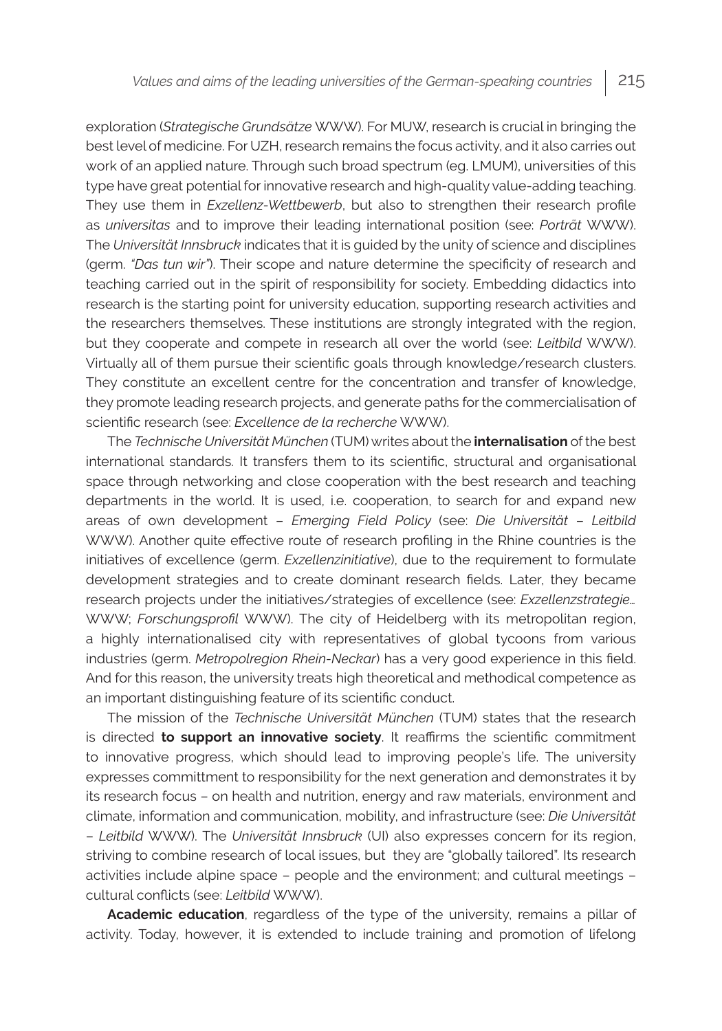exploration (*Strategische Grundsätze* WWW). For MUW, research is crucial in bringing the best level of medicine. For UZH, research remains the focus activity, and it also carries out work of an applied nature. Through such broad spectrum (eg. LMUM), universities of this type have great potential for innovative research and high-quality value-adding teaching. They use them in *Exzellenz-Wettbewerb*, but also to strengthen their research profile as *universitas* and to improve their leading international position (see: *Porträt* WWW). The *Universität Innsbruck* indicates that it is guided by the unity of science and disciplines (germ. *"Das tun wir"*). Their scope and nature determine the specificity of research and teaching carried out in the spirit of responsibility for society. Embedding didactics into research is the starting point for university education, supporting research activities and the researchers themselves. These institutions are strongly integrated with the region, but they cooperate and compete in research all over the world (see: *Leitbild* WWW). Virtually all of them pursue their scientific goals through knowledge/research clusters. They constitute an excellent centre for the concentration and transfer of knowledge, they promote leading research projects, and generate paths for the commercialisation of scientific research (see: *Excellence de la recherche* WWW).

The *Technische Universität München* (TUM) writes about the **internalisation** of the best international standards. It transfers them to its scientific, structural and organisational space through networking and close cooperation with the best research and teaching departments in the world. It is used, i.e. cooperation, to search for and expand new areas of own development – *Emerging Field Policy* (see: *Die Universität* – *Leitbild* WWW). Another quite effective route of research profiling in the Rhine countries is the initiatives of excellence (germ. *Exzellenzinitiative*), due to the requirement to formulate development strategies and to create dominant research fields. Later, they became research projects under the initiatives/strategies of excellence (see: *Exzellenzstrategie…* WWW; *Forschungsprofil* WWW). The city of Heidelberg with its metropolitan region, a highly internationalised city with representatives of global tycoons from various industries (germ. *Metropolregion Rhein-Neckar*) has a very good experience in this field. And for this reason, the university treats high theoretical and methodical competence as an important distinguishing feature of its scientific conduct.

The mission of the *Technische Universität München* (TUM) states that the research is directed **to support an innovative society**. It reaffirms the scientific commitment to innovative progress, which should lead to improving people's life. The university expresses committment to responsibility for the next generation and demonstrates it by its research focus – on health and nutrition, energy and raw materials, environment and climate, information and communication, mobility, and infrastructure (see: *Die Universität*  – *Leitbild* WWW). The *Universität Innsbruck* (UI) also expresses concern for its region, striving to combine research of local issues, but they are "globally tailored". Its research activities include alpine space – people and the environment; and cultural meetings – cultural conflicts (see: *Leitbild* WWW).

**Academic education**, regardless of the type of the university, remains a pillar of activity. Today, however, it is extended to include training and promotion of lifelong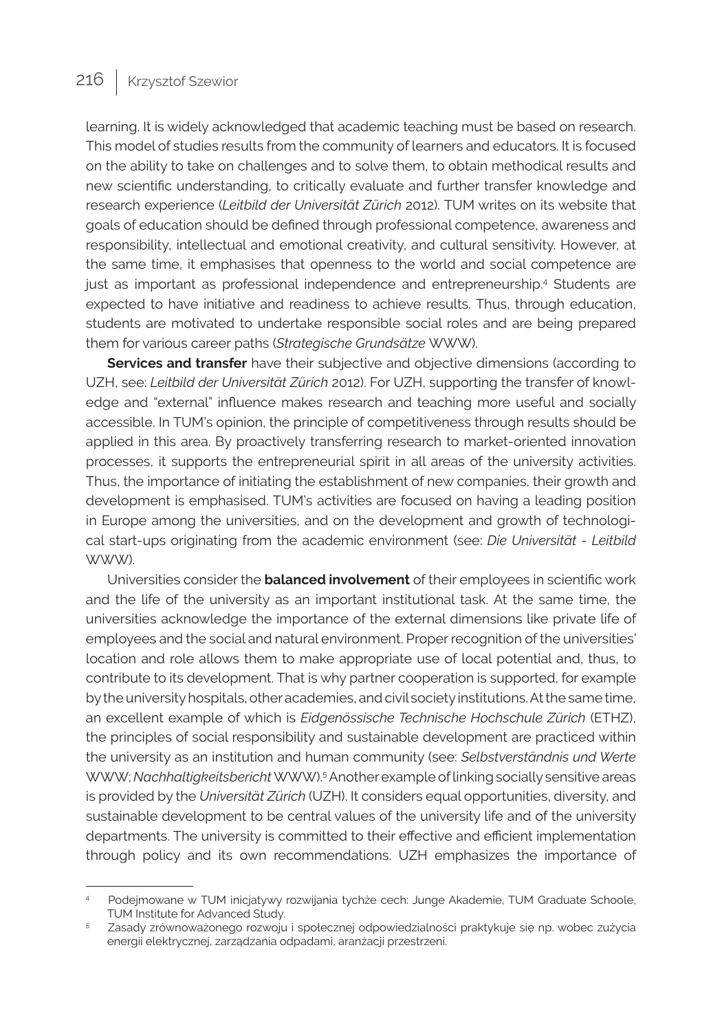learning. It is widely acknowledged that academic teaching must be based on research. This model of studies results from the community of learners and educators. It is focused on the ability to take on challenges and to solve them, to obtain methodical results and new scientific understanding, to critically evaluate and further transfer knowledge and research experience (*Leitbild der Universität Zürich* 2012). TUM writes on its website that goals of education should be defined through professional competence, awareness and responsibility, intellectual and emotional creativity, and cultural sensitivity. However, at the same time, it emphasises that openness to the world and social competence are just as important as professional independence and entrepreneurship.4 Students are expected to have initiative and readiness to achieve results. Thus, through education, students are motivated to undertake responsible social roles and are being prepared them for various career paths (*Strategische Grundsätze* WWW).

**Services and transfer** have their subjective and objective dimensions (according to UZH, see: *Leitbild der Universität Zürich* 2012). For UZH, supporting the transfer of knowledge and "external" influence makes research and teaching more useful and socially accessible. In TUM's opinion, the principle of competitiveness through results should be applied in this area. By proactively transferring research to market-oriented innovation processes, it supports the entrepreneurial spirit in all areas of the university activities. Thus, the importance of initiating the establishment of new companies, their growth and development is emphasised. TUM's activities are focused on having a leading position in Europe among the universities, and on the development and growth of technological start-ups originating from the academic environment (see: *Die Universität - Leitbild* WWW).

Universities consider the **balanced involvement** of their employees in scientific work and the life of the university as an important institutional task. At the same time, the universities acknowledge the importance of the external dimensions like private life of employees and the social and natural environment. Proper recognition of the universities' location and role allows them to make appropriate use of local potential and, thus, to contribute to its development. That is why partner cooperation is supported, for example by the university hospitals, other academies, and civil society institutions. At the same time, an excellent example of which is *Eidgenössische Technische Hochschule Zürich* (ETHZ), the principles of social responsibility and sustainable development are practiced within the university as an institution and human community (see: *Selbstverständnis und Werte* WWW; *Nachhaltigkeitsbericht* WWW).5 Another example of linking socially sensitive areas is provided by the *Universität Zürich* (UZH). It considers equal opportunities, diversity, and sustainable development to be central values of the university life and of the university departments. The university is committed to their effective and efficient implementation through policy and its own recommendations. UZH emphasizes the importance of

<sup>4</sup> Podejmowane w TUM inicjatywy rozwijania tychże cech: Junge Akademie, TUM Graduate Schoole, TUM Institute for Advanced Study.

<sup>5</sup> Zasady zrównoważonego rozwoju i społecznej odpowiedzialności praktykuje się np. wobec zużycia energii elektrycznej, zarządzania odpadami, aranżacji przestrzeni.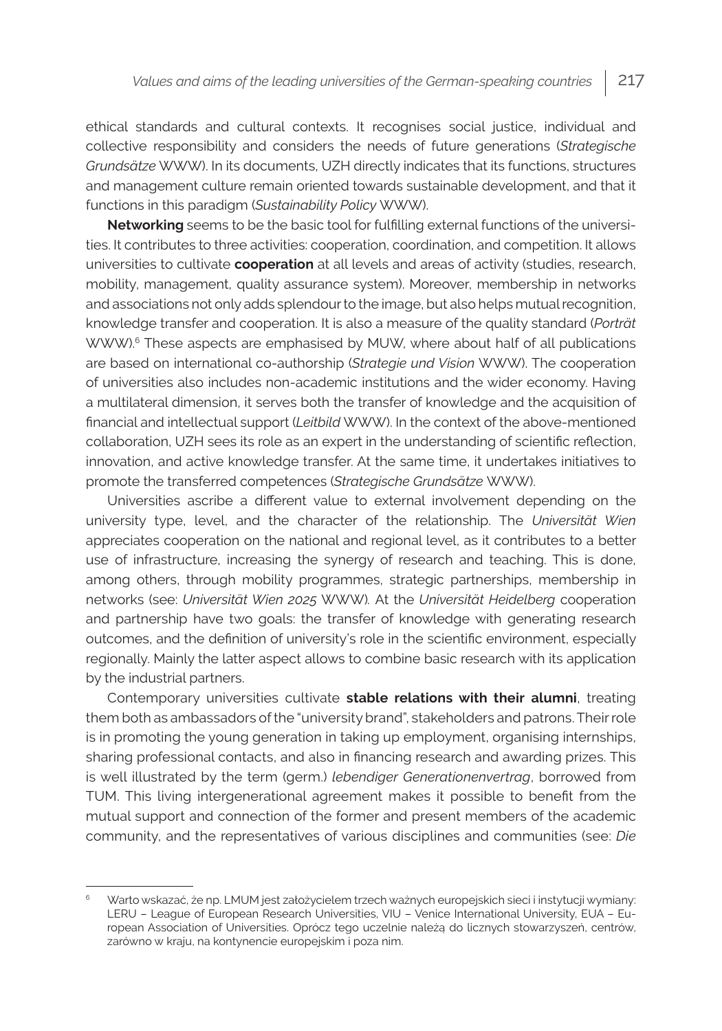ethical standards and cultural contexts. It recognises social justice, individual and collective responsibility and considers the needs of future generations (*Strategische Grundsätze* WWW). In its documents, UZH directly indicates that its functions, structures and management culture remain oriented towards sustainable development, and that it functions in this paradigm (*Sustainability Policy* WWW).

**Networking** seems to be the basic tool for fulfilling external functions of the universities. It contributes to three activities: cooperation, coordination, and competition. It allows universities to cultivate **cooperation** at all levels and areas of activity (studies, research, mobility, management, quality assurance system). Moreover, membership in networks and associations not only adds splendour to the image, but also helps mutual recognition, knowledge transfer and cooperation. It is also a measure of the quality standard (*Porträt*  WWW).<sup>6</sup> These aspects are emphasised by MUW, where about half of all publications are based on international co-authorship (*Strategie und Vision* WWW). The cooperation of universities also includes non-academic institutions and the wider economy. Having a multilateral dimension, it serves both the transfer of knowledge and the acquisition of financial and intellectual support (*Leitbild* WWW). In the context of the above-mentioned collaboration, UZH sees its role as an expert in the understanding of scientific reflection, innovation, and active knowledge transfer. At the same time, it undertakes initiatives to promote the transferred competences (*Strategische Grundsätze* WWW).

Universities ascribe a different value to external involvement depending on the university type, level, and the character of the relationship. The *Universität Wien* appreciates cooperation on the national and regional level, as it contributes to a better use of infrastructure, increasing the synergy of research and teaching. This is done, among others, through mobility programmes, strategic partnerships, membership in networks (see: *Universität Wien 2025* WWW)*.* At the *Universität Heidelberg* cooperation and partnership have two goals: the transfer of knowledge with generating research outcomes, and the definition of university's role in the scientific environment, especially regionally. Mainly the latter aspect allows to combine basic research with its application by the industrial partners.

Contemporary universities cultivate **stable relations with their alumni**, treating them both as ambassadors of the "university brand", stakeholders and patrons. Their role is in promoting the young generation in taking up employment, organising internships, sharing professional contacts, and also in financing research and awarding prizes. This is well illustrated by the term (germ.) *lebendiger Generationenvertrag*, borrowed from TUM. This living intergenerational agreement makes it possible to benefit from the mutual support and connection of the former and present members of the academic community, and the representatives of various disciplines and communities (see: *Die* 

<sup>6</sup> Warto wskazać, że np. LMUM jest założycielem trzech ważnych europejskich sieci i instytucji wymiany: LERU – League of European Research Universities, VIU – Venice International University, EUA – European Association of Universities. Oprócz tego uczelnie należą do licznych stowarzyszeń, centrów, zarówno w kraju, na kontynencie europejskim i poza nim.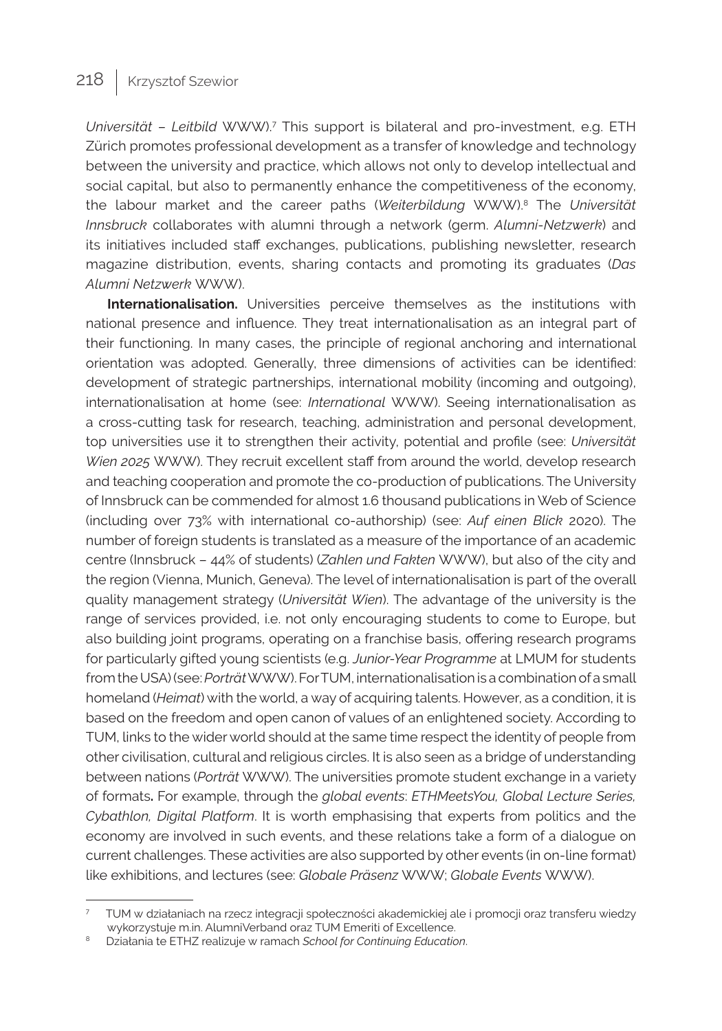Universität – Leitbild WWW).<sup>7</sup> This support is bilateral and pro-investment, e.g. ETH Zürich promotes professional development as a transfer of knowledge and technology between the university and practice, which allows not only to develop intellectual and social capital, but also to permanently enhance the competitiveness of the economy, the labour market and the career paths (*Weiterbildung* WWW).8 The *Universität Innsbruck* collaborates with alumni through a network (germ. *Alumni-Netzwerk*) and its initiatives included staff exchanges, publications, publishing newsletter, research magazine distribution, events, sharing contacts and promoting its graduates (*Das Alumni Netzwerk* WWW).

**Internationalisation.** Universities perceive themselves as the institutions with national presence and influence. They treat internationalisation as an integral part of their functioning. In many cases, the principle of regional anchoring and international orientation was adopted. Generally, three dimensions of activities can be identified: development of strategic partnerships, international mobility (incoming and outgoing), internationalisation at home (see: *International* WWW). Seeing internationalisation as a cross-cutting task for research, teaching, administration and personal development, top universities use it to strengthen their activity, potential and profile (see: *Universität Wien 2025* WWW). They recruit excellent staff from around the world, develop research and teaching cooperation and promote the co-production of publications. The University of Innsbruck can be commended for almost 1.6 thousand publications in Web of Science (including over 73% with international co-authorship) (see: *Auf einen Blick* 2020). The number of foreign students is translated as a measure of the importance of an academic centre (Innsbruck – 44% of students) (*Zahlen und Fakten* WWW), but also of the city and the region (Vienna, Munich, Geneva). The level of internationalisation is part of the overall quality management strategy (*Universität Wien*). The advantage of the university is the range of services provided, i.e. not only encouraging students to come to Europe, but also building joint programs, operating on a franchise basis, offering research programs for particularly gifted young scientists (e.g. *Junior-Year Programme* at LMUM for students from the USA) (see: *Porträt* WWW). For TUM, internationalisation is a combination of a small homeland (*Heimat*) with the world, a way of acquiring talents. However, as a condition, it is based on the freedom and open canon of values of an enlightened society. According to TUM, links to the wider world should at the same time respect the identity of people from other civilisation, cultural and religious circles. It is also seen as a bridge of understanding between nations (*Porträt* WWW). The universities promote student exchange in a variety of formats**.** For example, through the *global events*: *ETHMeetsYou, Global Lecture Series, Cybathlon, Digital Platform*. It is worth emphasising that experts from politics and the economy are involved in such events, and these relations take a form of a dialogue on current challenges. These activities are also supported by other events (in on-line format) like exhibitions, and lectures (see: *Globale Präsenz* WWW; *Globale Events* WWW).

<sup>7</sup> TUM w działaniach na rzecz integracji społeczności akademickiej ale i promocji oraz transferu wiedzy wykorzystuje m.in. AlumniVerband oraz TUM Emeriti of Excellence.

<sup>8</sup> Działania te ETHZ realizuje w ramach *School for Continuing Education*.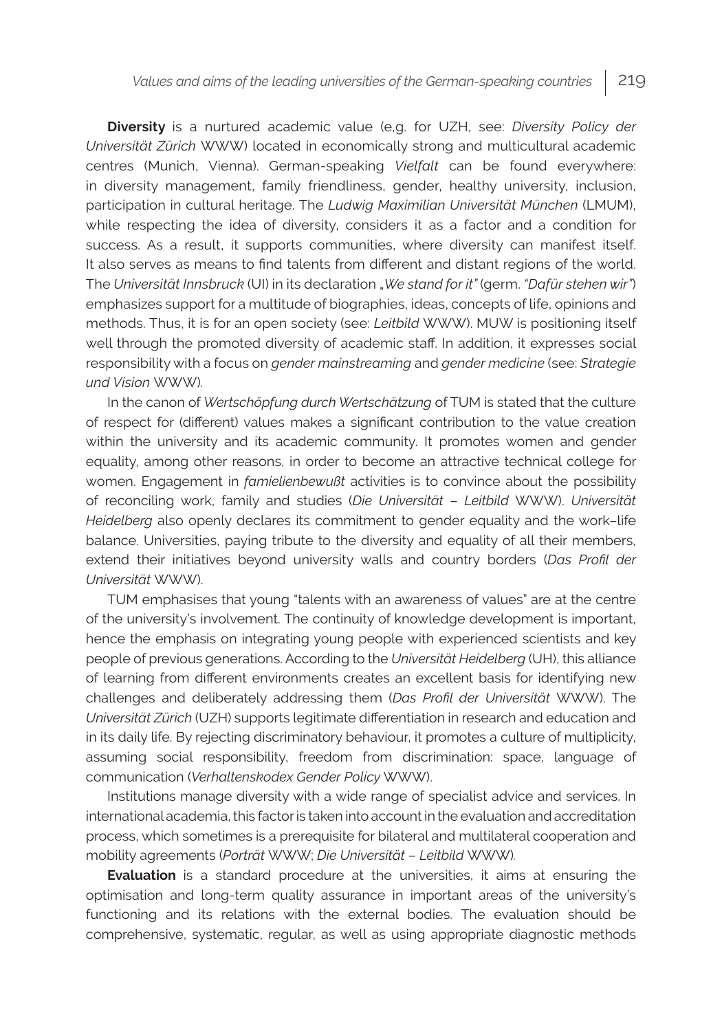**Diversity** is a nurtured academic value (e,g. for UZH, see: *Diversity Policy der Universität Zürich* WWW) located in economically strong and multicultural academic centres (Munich, Vienna). German-speaking *Vielfalt* can be found everywhere: in diversity management, family friendliness, gender, healthy university, inclusion, participation in cultural heritage. The *Ludwig Maximilian Universität München* (LMUM), while respecting the idea of diversity, considers it as a factor and a condition for success. As a result, it supports communities, where diversity can manifest itself. It also serves as means to find talents from different and distant regions of the world. The *Universität Innsbruck* (UI) in its declaration "*We stand for it"* (germ. *"Dafür stehen wir"*) emphasizes support for a multitude of biographies, ideas, concepts of life, opinions and methods. Thus, it is for an open society (see: *Leitbild* WWW). MUW is positioning itself well through the promoted diversity of academic staff. In addition, it expresses social responsibility with a focus on *gender mainstreaming* and *gender medicine* (see: *Strategie und Vision* WWW)*.*

In the canon of *Wertschöpfung durch Wertschätzung* of TUM is stated that the culture of respect for (different) values makes a significant contribution to the value creation within the university and its academic community. It promotes women and gender equality, among other reasons, in order to become an attractive technical college for women. Engagement in *famielienbewußt* activities is to convince about the possibility of reconciling work, family and studies (*Die Universität* – *Leitbild* WWW). *Universität Heidelberg* also openly declares its commitment to gender equality and the work–life balance. Universities, paying tribute to the diversity and equality of all their members, extend their initiatives beyond university walls and country borders (*Das Profil der Universität* WWW).

TUM emphasises that young "talents with an awareness of values" are at the centre of the university's involvement. The continuity of knowledge development is important, hence the emphasis on integrating young people with experienced scientists and key people of previous generations. According to the *Universität Heidelberg* (UH), this alliance of learning from different environments creates an excellent basis for identifying new challenges and deliberately addressing them (*Das Profil der Universität* WWW). The *Universität Zürich* (UZH) supports legitimate differentiation in research and education and in its daily life. By rejecting discriminatory behaviour, it promotes a culture of multiplicity, assuming social responsibility, freedom from discrimination: space, language of communication (*Verhaltenskodex Gender Policy* WWW).

Institutions manage diversity with a wide range of specialist advice and services. In international academia, this factor is taken into account in the evaluation and accreditation process, which sometimes is a prerequisite for bilateral and multilateral cooperation and mobility agreements (*Porträt* WWW; *Die Universität* – *Leitbild* WWW)*.*

**Evaluation** is a standard procedure at the universities, it aims at ensuring the optimisation and long-term quality assurance in important areas of the university's functioning and its relations with the external bodies. The evaluation should be comprehensive, systematic, regular, as well as using appropriate diagnostic methods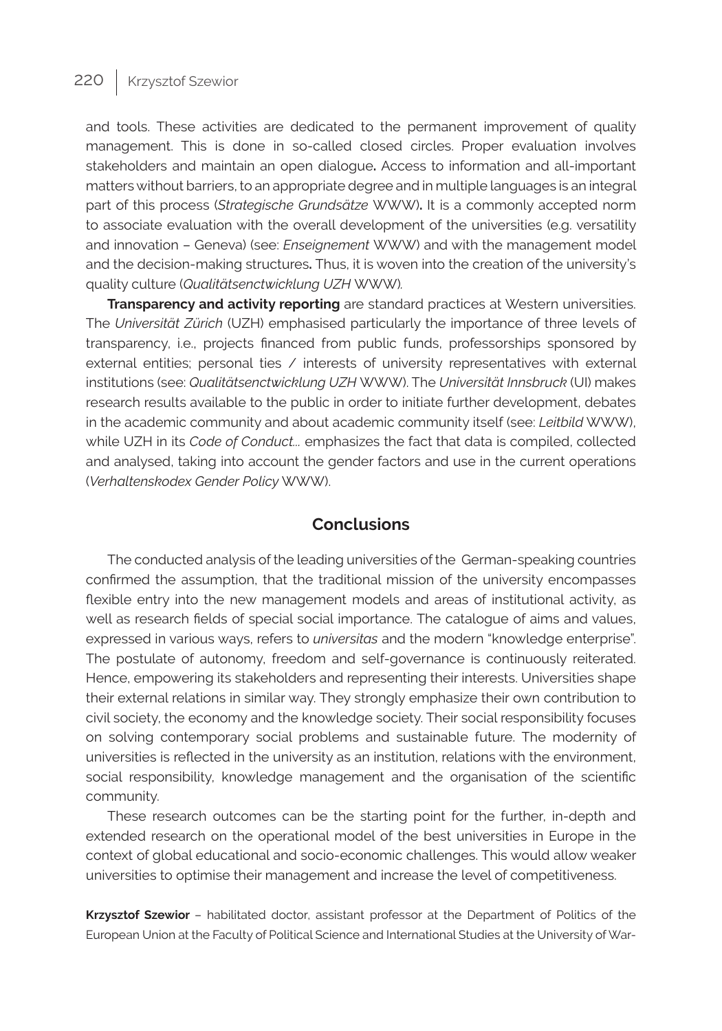and tools. These activities are dedicated to the permanent improvement of quality management. This is done in so-called closed circles. Proper evaluation involves stakeholders and maintain an open dialogue**.** Access to information and all-important matters without barriers, to an appropriate degree and in multiple languages is an integral part of this process (*Strategische Grundsätze* WWW)**.** It is a commonly accepted norm to associate evaluation with the overall development of the universities (e.g. versatility and innovation – Geneva) (see: *Enseignement* WWW) and with the management model and the decision-making structures**.** Thus, it is woven into the creation of the university's quality culture (*Qualitätsenctwicklung UZH* WWW)*.*

**Transparency and activity reporting** are standard practices at Western universities. The *Universität Zürich* (UZH) emphasised particularly the importance of three levels of transparency, i.e., projects financed from public funds, professorships sponsored by external entities; personal ties / interests of university representatives with external institutions (see: *Qualitätsenctwicklung UZH* WWW). The *Universität Innsbruck* (UI) makes research results available to the public in order to initiate further development, debates in the academic community and about academic community itself (see: *Leitbild* WWW), while UZH in its *Code of Conduct...* emphasizes the fact that data is compiled, collected and analysed, taking into account the gender factors and use in the current operations (*Verhaltenskodex Gender Policy* WWW).

### **Conclusions**

The conducted analysis of the leading universities of the German-speaking countries confirmed the assumption, that the traditional mission of the university encompasses flexible entry into the new management models and areas of institutional activity, as well as research fields of special social importance. The catalogue of aims and values, expressed in various ways, refers to *universitas* and the modern "knowledge enterprise". The postulate of autonomy, freedom and self-governance is continuously reiterated. Hence, empowering its stakeholders and representing their interests. Universities shape their external relations in similar way. They strongly emphasize their own contribution to civil society, the economy and the knowledge society. Their social responsibility focuses on solving contemporary social problems and sustainable future. The modernity of universities is reflected in the university as an institution, relations with the environment, social responsibility, knowledge management and the organisation of the scientific community.

These research outcomes can be the starting point for the further, in-depth and extended research on the operational model of the best universities in Europe in the context of global educational and socio-economic challenges. This would allow weaker universities to optimise their management and increase the level of competitiveness.

**Krzysztof Szewior** – habilitated doctor, assistant professor at the Department of Politics of the European Union at the Faculty of Political Science and International Studies at the University of War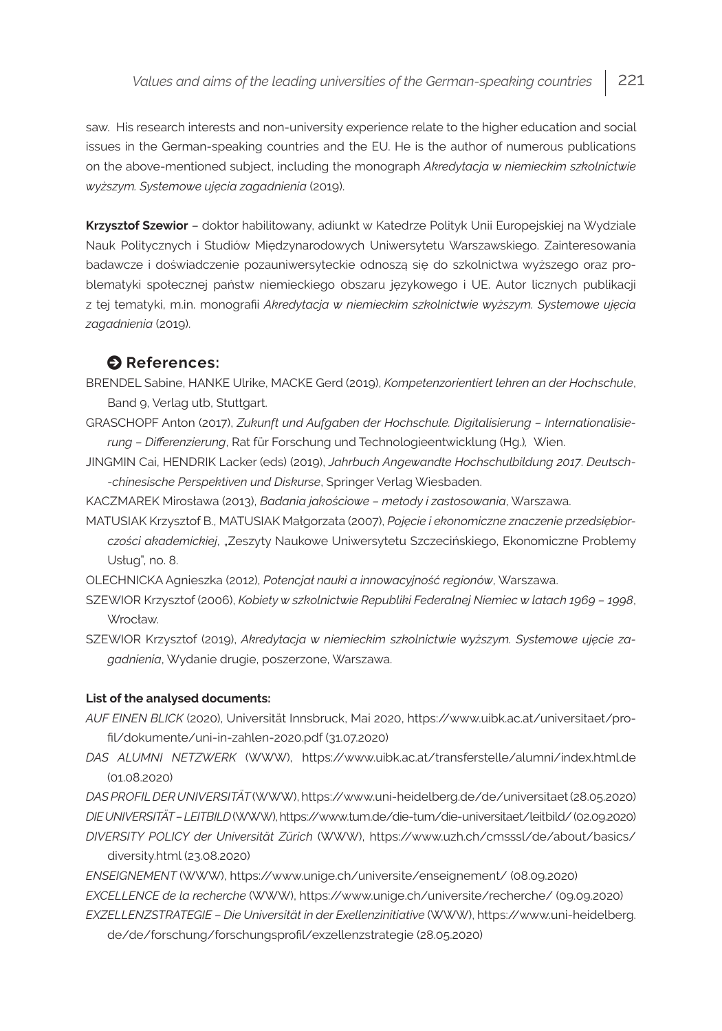saw. His research interests and non-university experience relate to the higher education and social issues in the German-speaking countries and the EU. He is the author of numerous publications on the above-mentioned subject, including the monograph *Akredytacja w niemieckim szkolnictwie wyższym. Systemowe ujęcia zagadnienia* (2019).

**Krzysztof Szewior** – doktor habilitowany, adiunkt w Katedrze Polityk Unii Europejskiej na Wydziale Nauk Politycznych i Studiów Międzynarodowych Uniwersytetu Warszawskiego. Zainteresowania badawcze i doświadczenie pozauniwersyteckie odnoszą się do szkolnictwa wyższego oraz problematyki społecznej państw niemieckiego obszaru językowego i UE. Autor licznych publikacji z tej tematyki, m.in. monografii *Akredytacja w niemieckim szkolnictwie wyższym. Systemowe ujęcia zagadnienia* (2019).

#### $\bullet$  References:

- BRENDEL Sabine, HANKE Ulrike, MACKE Gerd (2019), *Kompetenzorientiert lehren an der Hochschule*, Band 9, Verlag utb, Stuttgart.
- GRASCHOPF Anton (2017), *Zukunft und Aufgaben der Hochschule. Digitalisierung Internationalisierung – Differenzierung*, Rat für Forschung und Technologieentwicklung (Hg.)*,* Wien.
- JINGMIN Cai, HENDRIK Lacker (eds) (2019), *Jahrbuch Angewandte Hochschulbildung 2017*. *Deutsch- -chinesische Perspektiven und Diskurse*, Springer Verlag Wiesbaden.
- KACZMAREK Mirosława (2013), *Badania jakościowe metody i zastosowania*, Warszawa.
- MATUSIAK Krzysztof B., MATUSIAK Małgorzata (2007), *Pojęcie i ekonomiczne znaczenie przedsiębiorczości akademickiej*, "Zeszyty Naukowe Uniwersytetu Szczecińskiego, Ekonomiczne Problemy Usług", no. 8.
- OLECHNICKA Agnieszka (2012), *Potencjał nauki a innowacyjność regionów*, Warszawa.
- SZEWIOR Krzysztof (2006), *Kobiety w szkolnictwie Republiki Federalnej Niemiec w latach 1969 1998*, Wrocław.
- SZEWIOR Krzysztof (2019), *Akredytacja w niemieckim szkolnictwie wyższym. Systemowe ujęcie zagadnienia*, Wydanie drugie, poszerzone, Warszawa.

#### **List of the analysed documents:**

- *AUF EINEN BLICK* (2020), Universität Innsbruck, Mai 2020, https://www.uibk.ac.at/universitaet/profil/dokumente/uni-in-zahlen-2020.pdf (31.07.2020)
- *DAS ALUMNI NETZWERK* (WWW), https://www.uibk.ac.at/transferstelle/alumni/index.html.de (01.08.2020)

*DAS PROFIL DER UNIVERSITÄT* (WWW), https://www.uni-heidelberg.de/de/universitaet (28.05.2020) *DIE UNIVERSITÄT – LEITBILD*(WWW),<https://www.tum.de/die-tum/die-universitaet/leitbild/> (02.09.2020) *DIVERSITY POLICY der Universität Zürich* (WWW), https://www.uzh.ch/cmsssl/de/about/basics/ diversity.html (23.08.2020)

*ENSEIGNEMENT* (WWW), https://www.unige.ch/universite/enseignement/ (08.09.2020) *EXCELLENCE de la recherche* (WWW), https://www.unige.ch/universite/recherche/ (09.09.2020) *EXZELLENZSTRATEGIE – Die Universität in der Exellenzinitiative* (WWW), [https://www.uni-heidelberg.](https://www.uni-heidelberg.de/de/forschung/forschungsprofil/exzellenzstrategie) [de/de/forschung/forschungsprofil/exzellenzstrategie](https://www.uni-heidelberg.de/de/forschung/forschungsprofil/exzellenzstrategie) (28.05.2020)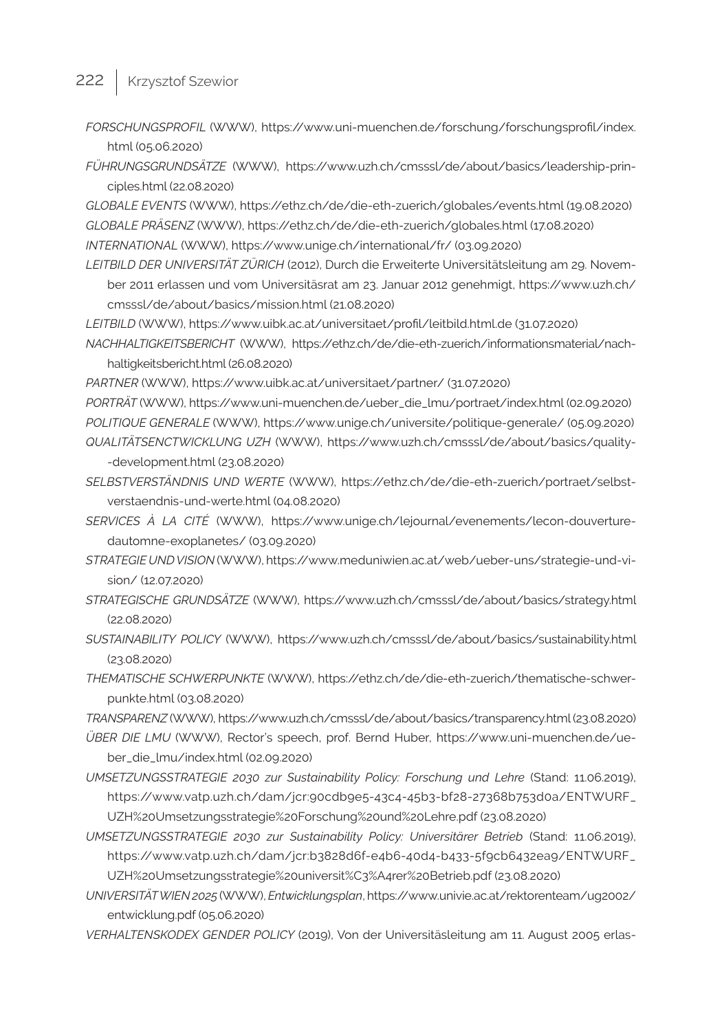- 222 | Krzysztof Szewior
	- *FORSCHUNGSPROFIL* (WWW), https://www.uni-muenchen.de/forschung/forschungsprofil/index. html (05.06.2020)
	- *FÜHRUNGSGRUNDSÄTZE* (WWW), https://www.uzh.ch/cmsssl/de/about/basics/leadership-principles.html (22.08.2020)

*GLOBALE EVENTS* (WWW), https://ethz.ch/de/die-eth-zuerich/globales/events.html (19.08.2020) *GLOBALE PRÄSENZ* (WWW), https://ethz.ch/de/die-eth-zuerich/globales.html (17.08.2020)

- *INTERNATIONAL* (WWW), https://www.unige.ch/international/fr/ (03.09.2020)
- *LEITBILD DER UNIVERSITÄT ZÜRICH* (2012), Durch die Erweiterte Universitätsleitung am 29. November 2011 erlassen und vom Universitäsrat am 23. Januar 2012 genehmigt, https://www.uzh.ch/ cmsssl/de/about/basics/mission.html (21.08.2020)
- *LEITBILD* (WWW), https://www.uibk.ac.at/universitaet/profil/leitbild.html.de (31.07.2020)
- *NACHHALTIGKEITSBERICHT* (WWW), https://ethz.ch/de/die-eth-zuerich/informationsmaterial/nachhaltigkeitsbericht.html (26.08.2020)
- *PARTNER* (WWW), https://www.uibk.ac.at/universitaet/partner/ (31.07.2020)
- *PORTRÄT* (WWW), https://www.uni-muenchen.de/ueber\_die\_lmu/portraet/index.html (02.09.2020) *POLITIQUE GENERALE* (WWW), https://www.unige.ch/universite/politique-generale/ (05.09.2020) *QUALITÄTSENCTWICKLUNG UZH* (WWW), [https://www.uzh.ch/cmsssl/de/about/basics/quality-](https://www.uzh.ch/cmsssl/de/about/basics/quality-development.html) [-development.html](https://www.uzh.ch/cmsssl/de/about/basics/quality-development.html) (23.08.2020)
- *SELBSTVERSTÄNDNIS UND WERTE* (WWW), [https://ethz.ch/de/die-eth-zuerich/portraet/selbst](https://ethz.ch/de/die-eth-zuerich/portraet/selbstverstaendnis-und-werte.html)[verstaendnis-und-werte.html](https://ethz.ch/de/die-eth-zuerich/portraet/selbstverstaendnis-und-werte.html) (04.08.2020)
- *SERVICES À LA CITÉ* (WWW), [https://www.unige.ch/lejournal/evenements/lecon-douverture](https://www.unige.ch/lejournal/evenements/lecon-douverture-dautomne-exoplanetes/)[dautomne-exoplanetes/](https://www.unige.ch/lejournal/evenements/lecon-douverture-dautomne-exoplanetes/) (03.09.2020)
- *STRATEGIE UND VISION* (WWW), https://www.meduniwien.ac.at/web/ueber-uns/strategie-und-vision/ (12.07.2020)
- *STRATEGISCHE GRUNDSÄTZE* (WWW), https://www.uzh.ch/cmsssl/de/about/basics/strategy.html (22.08.2020)
- *SUSTAINABILITY POLICY* (WWW), https://www.uzh.ch/cmsssl/de/about/basics/sustainability.html (23.08.2020)
- *THEMATISCHE SCHWERPUNKTE* (WWW), [https://ethz.ch/de/die-eth-zuerich/thematische-schwer](https://ethz.ch/de/die-eth-zuerich/thematische-schwerpunkte.html)[punkte.html](https://ethz.ch/de/die-eth-zuerich/thematische-schwerpunkte.html) (03.08.2020)

*TRANSPARENZ* (WWW),<https://www.uzh.ch/cmsssl/de/about/basics/transparency.html> (23.08.2020)

- *ÜBER DIE LMU* (WWW), Rector's speech, prof. Bernd Huber, [https://www.uni-muenchen.de/ue](https://www.uni-muenchen.de/ueber_die_lmu/index.html)[ber\\_die\\_lmu/index.html](https://www.uni-muenchen.de/ueber_die_lmu/index.html) (02.09.2020)
- *UMSETZUNGSSTRATEGIE 2030 zur Sustainability Policy: Forschung und Lehre* (Stand: 11.06.2019), [https://www.vatp.uzh.ch/dam/jcr:90cdb9e5-43c4-45b3-bf28-27368b753d0a/ENTWURF\\_](https://www.vatp.uzh.ch/dam/jcr:90cdb9e5-43c4-45b3-bf28-27368b753d0a/ENTWURF_UZH%20Umsetzungsstrategie%20Forschung%20und%20Lehre.pdf) [UZH%20Umsetzungsstrategie%20Forschung%20und%20Lehre.pdf](https://www.vatp.uzh.ch/dam/jcr:90cdb9e5-43c4-45b3-bf28-27368b753d0a/ENTWURF_UZH%20Umsetzungsstrategie%20Forschung%20und%20Lehre.pdf) (23.08.2020)
- *UMSETZUNGSSTRATEGIE 2030 zur Sustainability Policy: Universitärer Betrieb* (Stand: 11.06.2019), [https://www.vatp.uzh.ch/dam/jcr:b3828d6f-e4b6-40d4-b433-5f9cb6432ea9/ENTWURF\\_](https://www.vatp.uzh.ch/dam/jcr:b3828d6f-e4b6-40d4-b433-5f9cb6432ea9/ENTWURF_UZH%20Umsetzungsstrategie%20universit�rer%20Betrieb.pdf) [UZH%20Umsetzungsstrategie%20universit%C3%A4rer%20Betrieb.pdf](https://www.vatp.uzh.ch/dam/jcr:b3828d6f-e4b6-40d4-b433-5f9cb6432ea9/ENTWURF_UZH%20Umsetzungsstrategie%20universit�rer%20Betrieb.pdf) (23.08.2020)
- *UNIVERSITÄT WIEN 2025* (WWW), *Entwicklungsplan*, [https://www.univie.ac.at/rektorenteam/ug2002/](https://www.univie.ac.at/rektorenteam/ug2002/entwicklung.pdf) [entwicklung.pdf](https://www.univie.ac.at/rektorenteam/ug2002/entwicklung.pdf) (05.06.2020)
- *VERHALTENSKODEX GENDER POLICY* (2019), Von der Universitäsleitung am 11. August 2005 erlas-